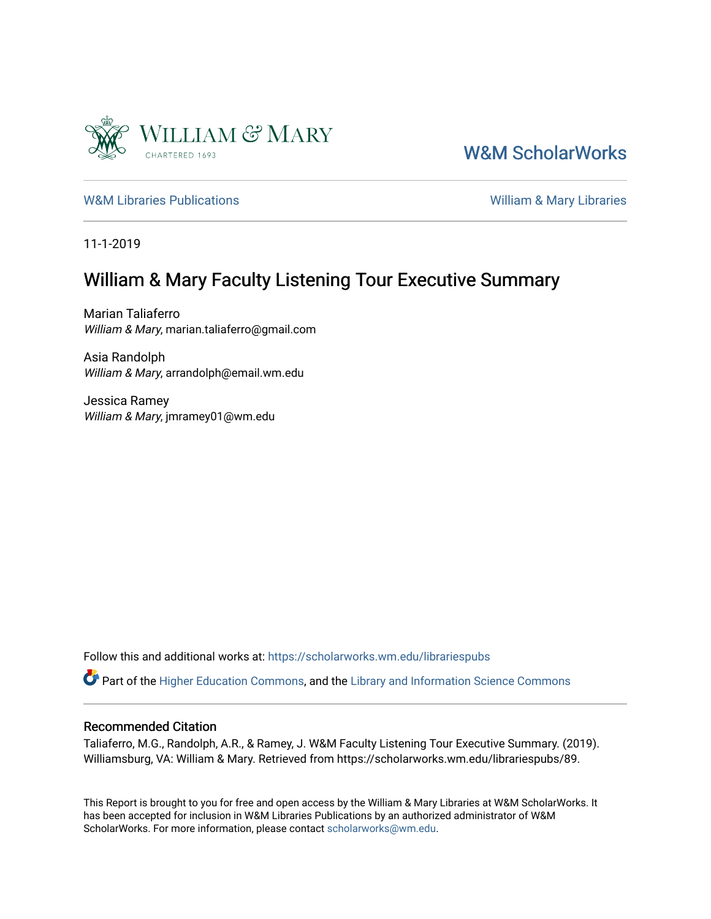

[W&M ScholarWorks](https://scholarworks.wm.edu/) 

[W&M Libraries Publications](https://scholarworks.wm.edu/librariespubs) **William & Mary Libraries** William & Mary Libraries

11-1-2019

## William & Mary Faculty Listening Tour Executive Summary

Marian Taliaferro William & Mary, marian.taliaferro@gmail.com

Asia Randolph William & Mary, arrandolph@email.wm.edu

Jessica Ramey William & Mary, jmramey01@wm.edu

Follow this and additional works at: [https://scholarworks.wm.edu/librariespubs](https://scholarworks.wm.edu/librariespubs?utm_source=scholarworks.wm.edu%2Flibrariespubs%2F89&utm_medium=PDF&utm_campaign=PDFCoverPages)

Part of the [Higher Education Commons,](http://network.bepress.com/hgg/discipline/1245?utm_source=scholarworks.wm.edu%2Flibrariespubs%2F89&utm_medium=PDF&utm_campaign=PDFCoverPages) and the [Library and Information Science Commons](http://network.bepress.com/hgg/discipline/1018?utm_source=scholarworks.wm.edu%2Flibrariespubs%2F89&utm_medium=PDF&utm_campaign=PDFCoverPages) 

#### Recommended Citation

Taliaferro, M.G., Randolph, A.R., & Ramey, J. W&M Faculty Listening Tour Executive Summary. (2019). Williamsburg, VA: William & Mary. Retrieved from https://scholarworks.wm.edu/librariespubs/89.

This Report is brought to you for free and open access by the William & Mary Libraries at W&M ScholarWorks. It has been accepted for inclusion in W&M Libraries Publications by an authorized administrator of W&M ScholarWorks. For more information, please contact [scholarworks@wm.edu.](mailto:scholarworks@wm.edu)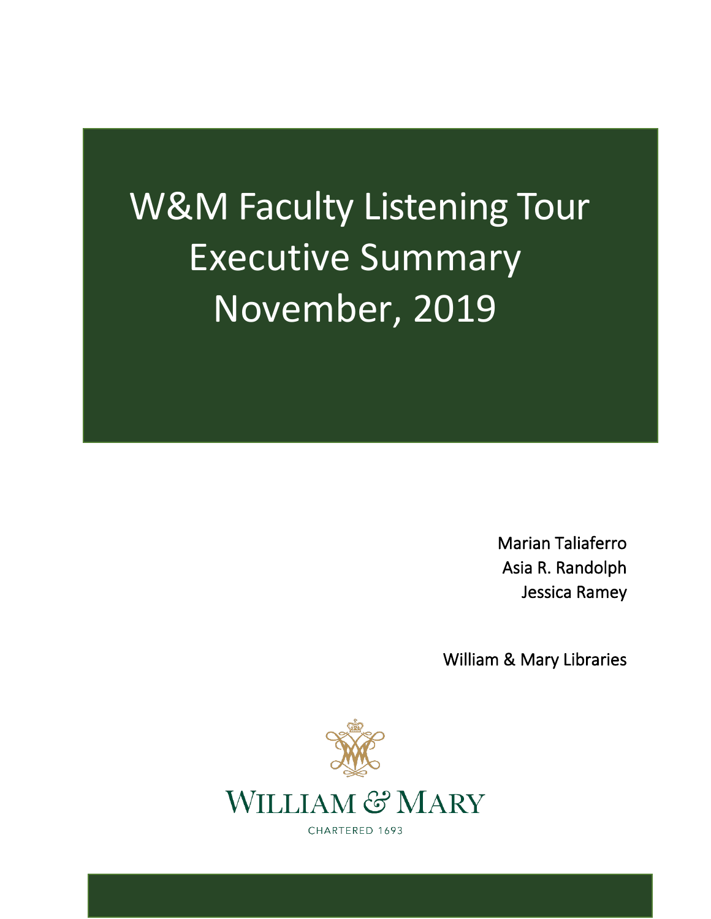# W&M Faculty Listening Tour Executive Summary November, 2019

Marian Taliaferro Asia R. Randolph Jessica Ramey

William & Mary Libraries



CHARTERED 1693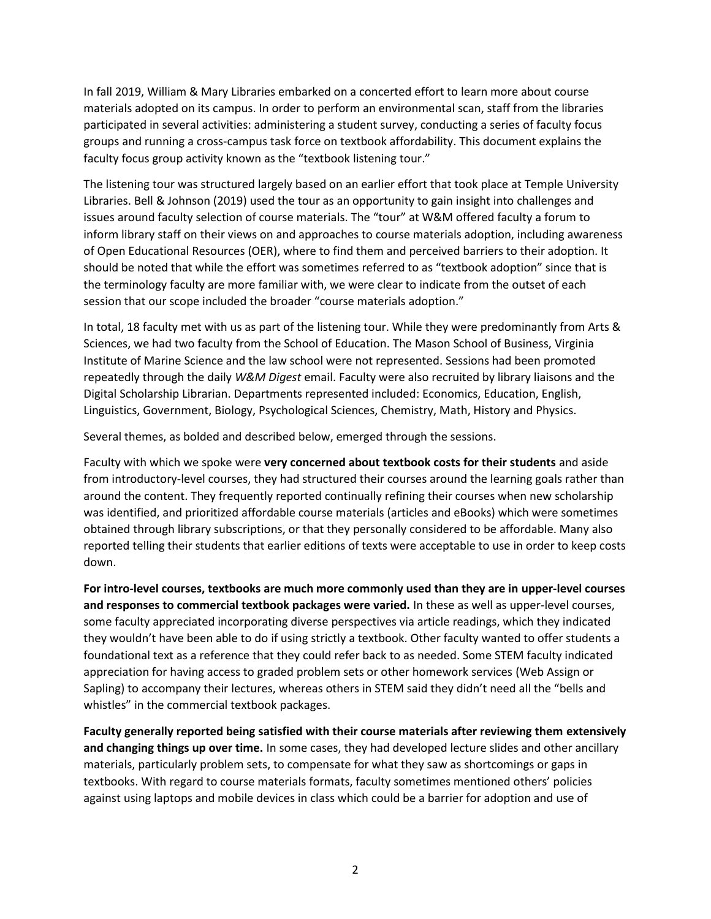In fall 2019, William & Mary Libraries embarked on a concerted effort to learn more about course materials adopted on its campus. In order to perform an environmental scan, staff from the libraries participated in several activities: administering a student survey, conducting a series of faculty focus groups and running a cross-campus task force on textbook affordability. This document explains the faculty focus group activity known as the "textbook listening tour."

The listening tour was structured largely based on an earlier effort that took place at Temple University Libraries. Bell & Johnson (2019) used the tour as an opportunity to gain insight into challenges and issues around faculty selection of course materials. The "tour" at W&M offered faculty a forum to inform library staff on their views on and approaches to course materials adoption, including awareness of Open Educational Resources (OER), where to find them and perceived barriers to their adoption. It should be noted that while the effort was sometimes referred to as "textbook adoption" since that is the terminology faculty are more familiar with, we were clear to indicate from the outset of each session that our scope included the broader "course materials adoption."

In total, 18 faculty met with us as part of the listening tour. While they were predominantly from Arts & Sciences, we had two faculty from the School of Education. The Mason School of Business, Virginia Institute of Marine Science and the law school were not represented. Sessions had been promoted repeatedly through the daily *W&M Digest* email. Faculty were also recruited by library liaisons and the Digital Scholarship Librarian. Departments represented included: Economics, Education, English, Linguistics, Government, Biology, Psychological Sciences, Chemistry, Math, History and Physics.

Several themes, as bolded and described below, emerged through the sessions.

Faculty with which we spoke were **very concerned about textbook costs for their students** and aside from introductory-level courses, they had structured their courses around the learning goals rather than around the content. They frequently reported continually refining their courses when new scholarship was identified, and prioritized affordable course materials (articles and eBooks) which were sometimes obtained through library subscriptions, or that they personally considered to be affordable. Many also reported telling their students that earlier editions of texts were acceptable to use in order to keep costs down.

**For intro-level courses, textbooks are much more commonly used than they are in upper-level courses and responses to commercial textbook packages were varied.** In these as well as upper-level courses, some faculty appreciated incorporating diverse perspectives via article readings, which they indicated they wouldn't have been able to do if using strictly a textbook. Other faculty wanted to offer students a foundational text as a reference that they could refer back to as needed. Some STEM faculty indicated appreciation for having access to graded problem sets or other homework services (Web Assign or Sapling) to accompany their lectures, whereas others in STEM said they didn't need all the "bells and whistles" in the commercial textbook packages.

**Faculty generally reported being satisfied with their course materials after reviewing them extensively and changing things up over time.** In some cases, they had developed lecture slides and other ancillary materials, particularly problem sets, to compensate for what they saw as shortcomings or gaps in textbooks. With regard to course materials formats, faculty sometimes mentioned others' policies against using laptops and mobile devices in class which could be a barrier for adoption and use of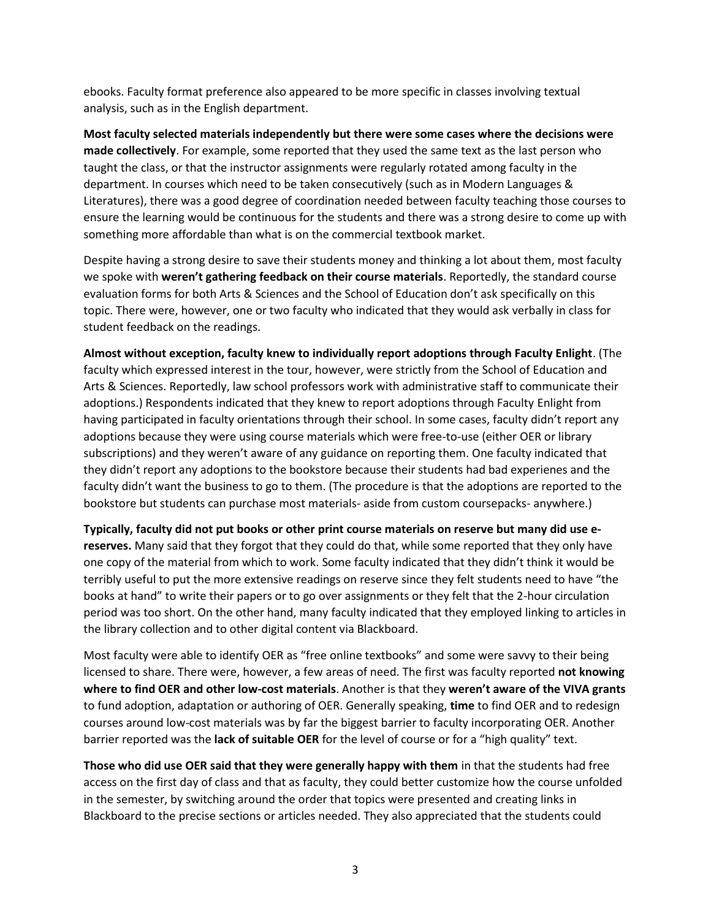ebooks. Faculty format preference also appeared to be more specific in classes involving textual analysis, such as in the English department.

**Most faculty selected materials independently but there were some cases where the decisions were made collectively**. For example, some reported that they used the same text as the last person who taught the class, or that the instructor assignments were regularly rotated among faculty in the department. In courses which need to be taken consecutively (such as in Modern Languages & Literatures), there was a good degree of coordination needed between faculty teaching those courses to ensure the learning would be continuous for the students and there was a strong desire to come up with something more affordable than what is on the commercial textbook market.

Despite having a strong desire to save their students money and thinking a lot about them, most faculty we spoke with **weren't gathering feedback on their course materials**. Reportedly, the standard course evaluation forms for both Arts & Sciences and the School of Education don't ask specifically on this topic. There were, however, one or two faculty who indicated that they would ask verbally in class for student feedback on the readings.

**Almost without exception, faculty knew to individually report adoptions through Faculty Enlight**. (The faculty which expressed interest in the tour, however, were strictly from the School of Education and Arts & Sciences. Reportedly, law school professors work with administrative staff to communicate their adoptions.) Respondents indicated that they knew to report adoptions through Faculty Enlight from having participated in faculty orientations through their school. In some cases, faculty didn't report any adoptions because they were using course materials which were free-to-use (either OER or library subscriptions) and they weren't aware of any guidance on reporting them. One faculty indicated that they didn't report any adoptions to the bookstore because their students had bad experienes and the faculty didn't want the business to go to them. (The procedure is that the adoptions are reported to the bookstore but students can purchase most materials- aside from custom coursepacks- anywhere.)

**Typically, faculty did not put books or other print course materials on reserve but many did use ereserves.** Many said that they forgot that they could do that, while some reported that they only have one copy of the material from which to work. Some faculty indicated that they didn't think it would be terribly useful to put the more extensive readings on reserve since they felt students need to have "the books at hand" to write their papers or to go over assignments or they felt that the 2-hour circulation period was too short. On the other hand, many faculty indicated that they employed linking to articles in the library collection and to other digital content via Blackboard.

Most faculty were able to identify OER as "free online textbooks" and some were savvy to their being licensed to share. There were, however, a few areas of need. The first was faculty reported **not knowing where to find OER and other low-cost materials**. Another is that they **weren't aware of the VIVA grants** to fund adoption, adaptation or authoring of OER. Generally speaking, **time** to find OER and to redesign courses around low-cost materials was by far the biggest barrier to faculty incorporating OER. Another barrier reported was the **lack of suitable OER** for the level of course or for a "high quality" text.

**Those who did use OER said that they were generally happy with them** in that the students had free access on the first day of class and that as faculty, they could better customize how the course unfolded in the semester, by switching around the order that topics were presented and creating links in Blackboard to the precise sections or articles needed. They also appreciated that the students could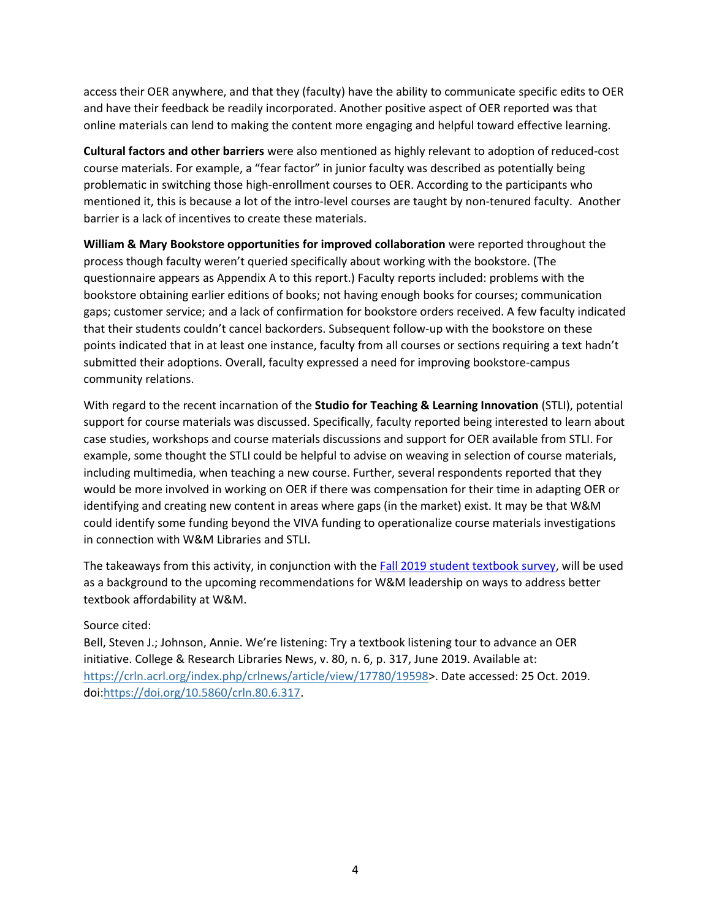access their OER anywhere, and that they (faculty) have the ability to communicate specific edits to OER and have their feedback be readily incorporated. Another positive aspect of OER reported was that online materials can lend to making the content more engaging and helpful toward effective learning.

**Cultural factors and other barriers** were also mentioned as highly relevant to adoption of reduced-cost course materials. For example, a "fear factor" in junior faculty was described as potentially being problematic in switching those high-enrollment courses to OER. According to the participants who mentioned it, this is because a lot of the intro-level courses are taught by non-tenured faculty. Another barrier is a lack of incentives to create these materials.

**William & Mary Bookstore opportunities for improved collaboration** were reported throughout the process though faculty weren't queried specifically about working with the bookstore. (The questionnaire appears as Appendix A to this report.) Faculty reports included: problems with the bookstore obtaining earlier editions of books; not having enough books for courses; communication gaps; customer service; and a lack of confirmation for bookstore orders received. A few faculty indicated that their students couldn't cancel backorders. Subsequent follow-up with the bookstore on these points indicated that in at least one instance, faculty from all courses or sections requiring a text hadn't submitted their adoptions. Overall, faculty expressed a need for improving bookstore-campus community relations.

With regard to the recent incarnation of the **Studio for Teaching & Learning Innovation** (STLI), potential support for course materials was discussed. Specifically, faculty reported being interested to learn about case studies, workshops and course materials discussions and support for OER available from STLI. For example, some thought the STLI could be helpful to advise on weaving in selection of course materials, including multimedia, when teaching a new course. Further, several respondents reported that they would be more involved in working on OER if there was compensation for their time in adapting OER or identifying and creating new content in areas where gaps (in the market) exist. It may be that W&M could identify some funding beyond the VIVA funding to operationalize course materials investigations in connection with W&M Libraries and STLI.

The takeaways from this activity, in conjunction with the Fall 2019 [student textbook survey,](https://scholarworks.wm.edu/librariespubs/2/) will be used as a background to the upcoming recommendations for W&M leadership on ways to address better textbook affordability at W&M.

## Source cited:

Bell, Steven J.; Johnson, Annie. We're listening: Try a textbook listening tour to advance an OER initiative. College & Research Libraries News, v. 80, n. 6, p. 317, June 2019. Available at: [https://crln.acrl.org/index.php/crlnews/article/view/17780/19598>](https://crln.acrl.org/index.php/crlnews/article/view/17780/19598). Date accessed: 25 Oct. 2019. doi[:https://doi.org/10.5860/crln.80.6.317.](https://doi.org/10.5860/crln.80.6.317)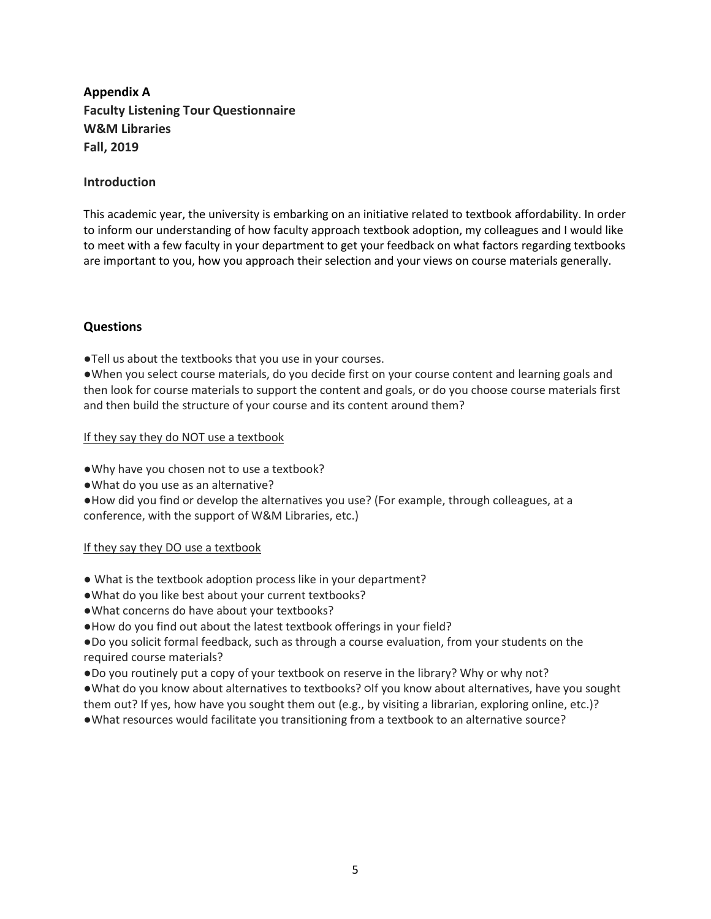## **Appendix A Faculty Listening Tour Questionnaire W&M Libraries Fall, 2019**

## **Introduction**

This academic year, the university is embarking on an initiative related to textbook affordability. In order to inform our understanding of how faculty approach textbook adoption, my colleagues and I would like to meet with a few faculty in your department to get your feedback on what factors regarding textbooks are important to you, how you approach their selection and your views on course materials generally.

## **Questions**

●Tell us about the textbooks that you use in your courses.

●When you select course materials, do you decide first on your course content and learning goals and then look for course materials to support the content and goals, or do you choose course materials first and then build the structure of your course and its content around them?

## If they say they do NOT use a textbook

●Why have you chosen not to use a textbook?

●What do you use as an alternative?

●How did you find or develop the alternatives you use? (For example, through colleagues, at a conference, with the support of W&M Libraries, etc.)

### If they say they DO use a textbook

- What is the textbook adoption process like in your department?
- ●What do you like best about your current textbooks?
- ●What concerns do have about your textbooks?
- ●How do you find out about the latest textbook offerings in your field?

●Do you solicit formal feedback, such as through a course evaluation, from your students on the required course materials?

●Do you routinely put a copy of your textbook on reserve in the library? Why or why not?

●What do you know about alternatives to textbooks? Olf you know about alternatives, have you sought them out? If yes, how have you sought them out (e.g., by visiting a librarian, exploring online, etc.)? ●What resources would facilitate you transitioning from a textbook to an alternative source?